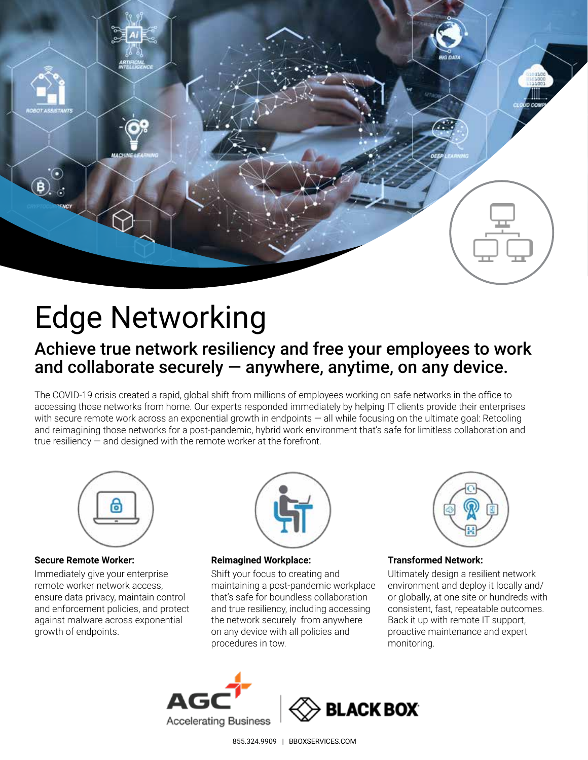

# Edge Networking

# Achieve true network resiliency and free your employees to work and collaborate securely  $-$  anywhere, anytime, on any device.

The COVID-19 crisis created a rapid, global shift from millions of employees working on safe networks in the office to accessing those networks from home. Our experts responded immediately by helping IT clients provide their enterprises with secure remote work across an exponential growth in endpoints — all while focusing on the ultimate goal: Retooling and reimagining those networks for a post-pandemic, hybrid work environment that's safe for limitless collaboration and true resiliency — and designed with the remote worker at the forefront.



#### **Secure Remote Worker:**

Immediately give your enterprise remote worker network access, ensure data privacy, maintain control and enforcement policies, and protect against malware across exponential growth of endpoints.



#### **Reimagined Workplace:**

Shift your focus to creating and maintaining a post-pandemic workplace that's safe for boundless collaboration and true resiliency, including accessing the network securely from anywhere on any device with all policies and procedures in tow.



#### **Transformed Network:**

Ultimately design a resilient network environment and deploy it locally and/ or globally, at one site or hundreds with consistent, fast, repeatable outcomes. Back it up with remote IT support, proactive maintenance and expert monitoring.